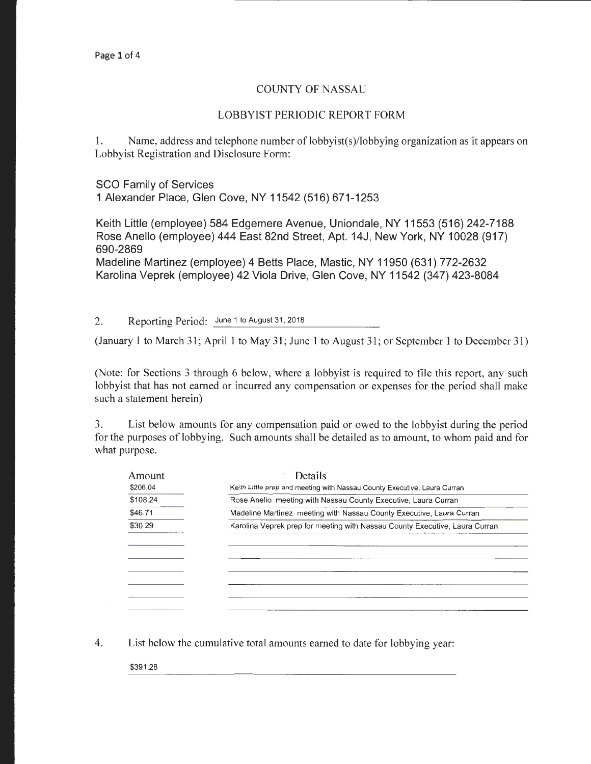## COUNTY OF NASSAU

## LOBBYIST PERIODIC REPORT FORM

1. Name, address and telephone number of lobbyist(s)/lobbying organization as it appears on Lobbyist Registration and Disclosure Form:

SCO Family of Services 1 Alexander Place, Glen Cove, NY 11542 (516) 671-1253

Keith Little (employee) 584 Edgemere Avenue, Uniondale, NY 11553 (516) 242-7188 Rose Anello (employee) 444 East 82nd Street, Apt. 14J, New York, NY 10028 (917) 690-2869

Madeline Martinez (employee) 4 Betts Place, Mastic, NY 11950 (631) 772-2632 Karolina Veprek (employee) 42 Viola Drive, Glen Cove, NY 11542 (347) 423-8084

2. Reporting Period: June 1 to August 31, 2018

(January 1 to March 31; April 1 to May 31; June 1 to August 31; or September 1 to December 31)

(Note: for Sections 3 through 6 below, where a lobbyist is required to file this report, any such lobbyist that has not earned or incurred any compensation or expenses for the period shall make such a statement herein)

3. List below amounts for any compensation paid or owed to the lobbyist during the period for the purposes of lobbying. Such amounts shall be detailed as to amount, to whom paid and for what purpose.

| Amount   | Details                                                                     |
|----------|-----------------------------------------------------------------------------|
| \$206.04 | Keith Little prep and meeting with Nassau County Executive, Laura Curran    |
| \$108.24 | Rose Anello meeting with Nassau County Executive, Laura Curran              |
| \$46.71  | Madeline Martinez meeting with Nassau County Executive, Laura Curran        |
| \$30.29  | Karolina Veprek prep for meeting with Nassau County Executive, Laura Curran |
|          |                                                                             |
|          |                                                                             |
|          |                                                                             |
|          |                                                                             |
|          |                                                                             |
|          |                                                                             |
|          |                                                                             |

4. List below the cumulative total amounts earned to date for lobbying year:

\$391.28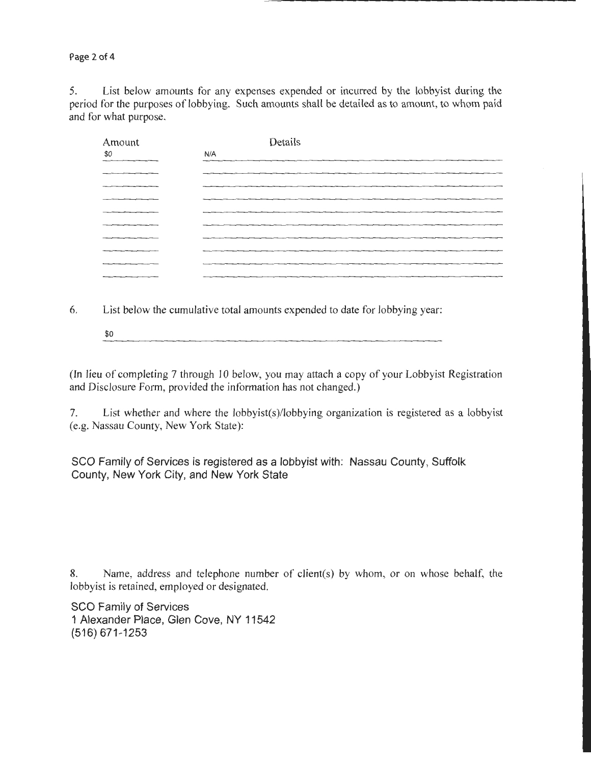Page 2 of 4

5. List below amounts for any expenses expended or incurred by the lobbyist during the period for the purposes of lobbying. Such amounts shall be detailed as to amount, to whom paid and for what purpose.

| Amount               | Details |
|----------------------|---------|
| \$0<br>$\frac{1}{2}$ | N/A     |
|                      |         |
|                      |         |
|                      |         |
|                      |         |
|                      |         |
|                      |         |
|                      |         |
|                      |         |
|                      |         |
|                      |         |

6. List below the cumulative total amounts expended to date for lobbying year:

\$0 

(In lieu of completing 7 through 10 below, you may attach a copy of your Lobbyist Registration and Disclosure Form, provided the information has not changed.)

7. List whether and where the lobbyist(s)/lobbying organization is registered as a lobbyist (e.g. Nassau County, New York State):

SCO Family of Services is registered as a lobbyist with: Nassau County, Suffolk County, New York City, and New York State

8. Name, address and telephone number of client(s) by whom, or on whose behalf, the lobbyist is retained, employed or designated.

SCO Family of Services 1 Alexander Place, Glen Cove, NY 11542 (516) 671-1253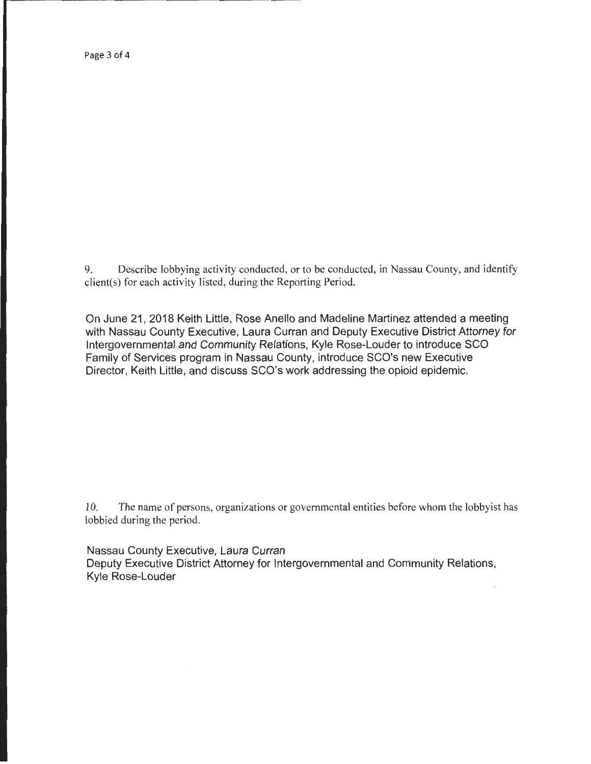Page 3 of 4

9. Describe lobbying activity conducted, or to be conducted, in Nassau County, and identify client(s) for each activity listed, during the Reporting Period.

On June 21, 2018 Keith Little, Rose Anello and Madeline Martinez attended a meeting with Nassau County Executive, Laura Curran and Deputy Executive District Attorney for Intergovernmental and Community Relations, Kyle Rose-Louder to introduce SCO Family of Services program in Nassau County, introduce SCO's new Executive Director, Keith Little, and discuss SCO's work addressing the opioid epidemic.

10. The name of persons, organizations or governmental entities before whom the lobbyist has lobbied during the period.

Nassau County Executive, Laura Curran Deputy Executive District Attorney for Intergovernmental and Community Relations, Kyle Rose-Louder